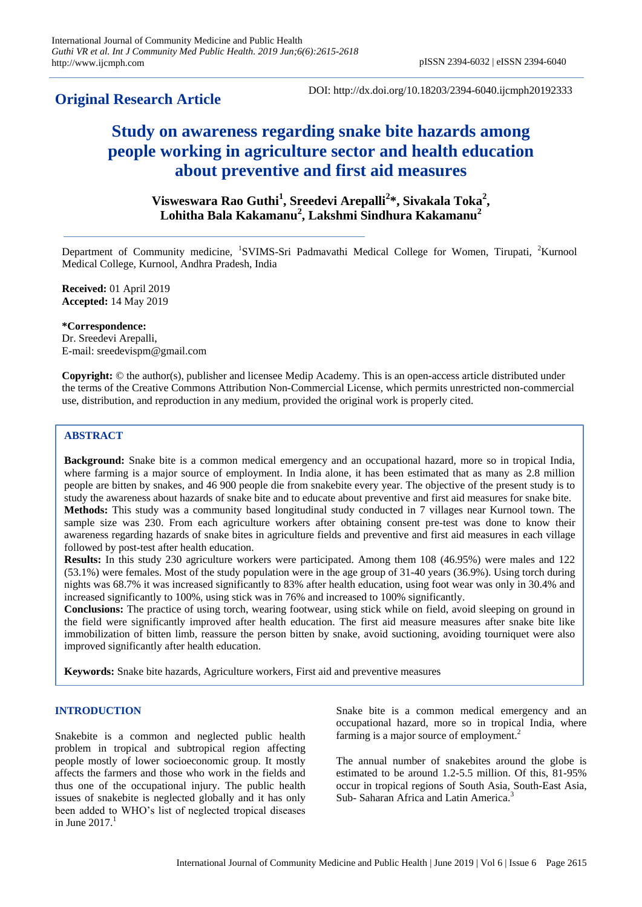# **Original Research Article**

# **Study on awareness regarding snake bite hazards among people working in agriculture sector and health education about preventive and first aid measures**

**Visweswara Rao Guthi<sup>1</sup> , Sreedevi Arepalli<sup>2</sup> \*, Sivakala Toka<sup>2</sup> , Lohitha Bala Kakamanu<sup>2</sup> , Lakshmi Sindhura Kakamanu<sup>2</sup>**

Department of Community medicine, <sup>1</sup>SVIMS-Sri Padmavathi Medical College for Women, Tirupati, <sup>2</sup>Kurnool Medical College, Kurnool, Andhra Pradesh, India

**Received:** 01 April 2019 **Accepted:** 14 May 2019

**\*Correspondence:** Dr. Sreedevi Arepalli, E-mail: sreedevispm@gmail.com

**Copyright:** © the author(s), publisher and licensee Medip Academy. This is an open-access article distributed under the terms of the Creative Commons Attribution Non-Commercial License, which permits unrestricted non-commercial use, distribution, and reproduction in any medium, provided the original work is properly cited.

# **ABSTRACT**

**Background:** Snake bite is a common medical emergency and an occupational hazard, more so in tropical India, where farming is a major source of employment. In India alone, it has been estimated that as many as 2.8 million people are bitten by snakes, and 46 900 people die from snakebite every year. The objective of the present study is to study the awareness about hazards of snake bite and to educate about preventive and first aid measures for snake bite. **Methods:** This study was a community based longitudinal study conducted in 7 villages near Kurnool town. The sample size was 230. From each agriculture workers after obtaining consent pre-test was done to know their awareness regarding hazards of snake bites in agriculture fields and preventive and first aid measures in each village followed by post-test after health education.

**Results:** In this study 230 agriculture workers were participated. Among them 108 (46.95%) were males and 122 (53.1%) were females. Most of the study population were in the age group of 31-40 years (36.9%). Using torch during nights was 68.7% it was increased significantly to 83% after health education, using foot wear was only in 30.4% and increased significantly to 100%, using stick was in 76% and increased to 100% significantly.

**Conclusions:** The practice of using torch, wearing footwear, using stick while on field, avoid sleeping on ground in the field were significantly improved after health education. The first aid measure measures after snake bite like immobilization of bitten limb, reassure the person bitten by snake, avoid suctioning, avoiding tourniquet were also improved significantly after health education.

**Keywords:** Snake bite hazards, Agriculture workers, First aid and preventive measures

#### **INTRODUCTION**

Snakebite is a common and neglected public health problem in tropical and subtropical region affecting people mostly of lower socioeconomic group. It mostly affects the farmers and those who work in the fields and thus one of the occupational injury. The public health issues of snakebite is neglected globally and it has only been added to WHO's list of neglected tropical diseases in June  $2017$ .

Snake bite is a common medical emergency and an occupational hazard, more so in tropical India, where farming is a major source of employment.<sup>2</sup>

The annual number of snakebites around the globe is estimated to be around 1.2-5.5 million. Of this, 81-95% occur in tropical regions of South Asia, South-East Asia, Sub- Saharan Africa and Latin America.<sup>3</sup>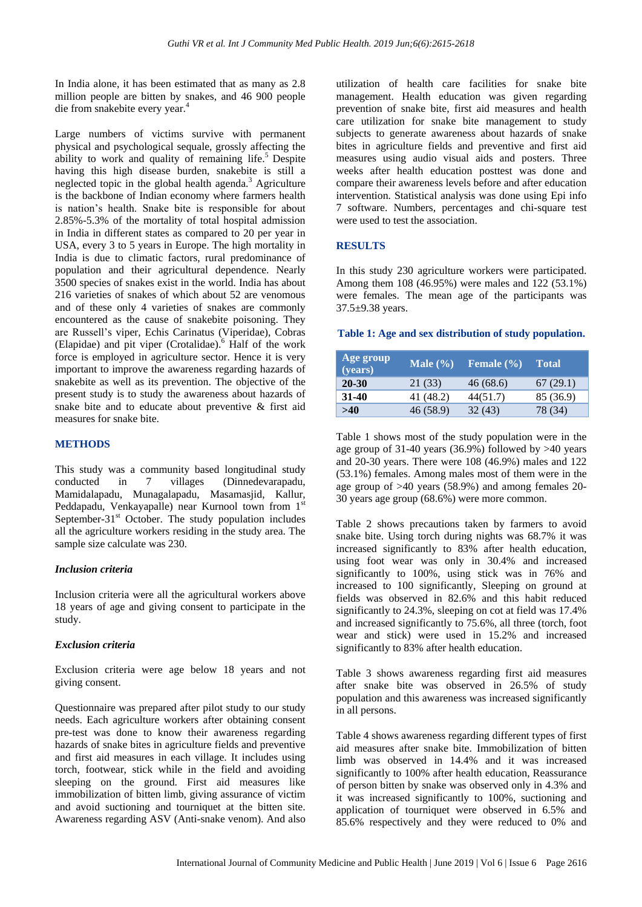In India alone, it has been estimated that as many as 2.8 million people are bitten by snakes, and 46 900 people die from snakebite every year.<sup>4</sup>

Large numbers of victims survive with permanent physical and psychological sequale, grossly affecting the ability to work and quality of remaining life.<sup>5</sup> Despite having this high disease burden, snakebite is still a neglected topic in the global health agenda. $3$  Agriculture is the backbone of Indian economy where farmers health is nation's health. Snake bite is responsible for about 2.85%-5.3% of the mortality of total hospital admission in India in different states as compared to 20 per year in USA, every 3 to 5 years in Europe. The high mortality in India is due to climatic factors, rural predominance of population and their agricultural dependence. Nearly 3500 species of snakes exist in the world. India has about 216 varieties of snakes of which about 52 are venomous and of these only 4 varieties of snakes are commonly encountered as the cause of snakebite poisoning. They are Russell's viper, Echis Carinatus (Viperidae), Cobras (Elapidae) and pit viper (Crotalidae).<sup>6</sup> Half of the work force is employed in agriculture sector. Hence it is very important to improve the awareness regarding hazards of snakebite as well as its prevention. The objective of the present study is to study the awareness about hazards of snake bite and to educate about preventive & first aid measures for snake bite.

# **METHODS**

This study was a community based longitudinal study<br>conducted in 7 villages (Dinnedevarapadu, 7 villages (Dinnedevarapadu, Mamidalapadu, Munagalapadu, Masamasjid, Kallur, Peddapadu, Venkayapalle) near Kurnool town from 1<sup>st</sup> September-31<sup>st</sup> October. The study population includes all the agriculture workers residing in the study area. The sample size calculate was 230.

# *Inclusion criteria*

Inclusion criteria were all the agricultural workers above 18 years of age and giving consent to participate in the study.

# *Exclusion criteria*

Exclusion criteria were age below 18 years and not giving consent.

Questionnaire was prepared after pilot study to our study needs. Each agriculture workers after obtaining consent pre-test was done to know their awareness regarding hazards of snake bites in agriculture fields and preventive and first aid measures in each village. It includes using torch, footwear, stick while in the field and avoiding sleeping on the ground. First aid measures like immobilization of bitten limb, giving assurance of victim and avoid suctioning and tourniquet at the bitten site. Awareness regarding ASV (Anti-snake venom). And also utilization of health care facilities for snake bite management. Health education was given regarding prevention of snake bite, first aid measures and health care utilization for snake bite management to study subjects to generate awareness about hazards of snake bites in agriculture fields and preventive and first aid measures using audio visual aids and posters. Three weeks after health education posttest was done and compare their awareness levels before and after education intervention. Statistical analysis was done using Epi info 7 software. Numbers, percentages and chi-square test were used to test the association.

# **RESULTS**

In this study 230 agriculture workers were participated. Among them 108 (46.95%) were males and 122 (53.1%) were females. The mean age of the participants was 37.5±9.38 years.

#### **Table 1: Age and sex distribution of study population.**

| Age group<br>(years) | Male $(\% )$ | Female $(\% )$ | <b>Total</b> |
|----------------------|--------------|----------------|--------------|
| 20-30                | 21 (33)      | 46(68.6)       | 67(29.1)     |
| $31-40$              | 41 (48.2)    | 44(51.7)       | 85 (36.9)    |
| >40                  | 46 (58.9)    | 32(43)         | 78 (34)      |

Table 1 shows most of the study population were in the age group of 31-40 years (36.9%) followed by >40 years and 20-30 years. There were 108 (46.9%) males and 122 (53.1%) females. Among males most of them were in the age group of >40 years (58.9%) and among females 20- 30 years age group (68.6%) were more common.

Table 2 shows precautions taken by farmers to avoid snake bite. Using torch during nights was 68.7% it was increased significantly to 83% after health education, using foot wear was only in 30.4% and increased significantly to 100%, using stick was in 76% and increased to 100 significantly, Sleeping on ground at fields was observed in 82.6% and this habit reduced significantly to 24.3%, sleeping on cot at field was 17.4% and increased significantly to 75.6%, all three (torch, foot wear and stick) were used in 15.2% and increased significantly to 83% after health education.

Table 3 shows awareness regarding first aid measures after snake bite was observed in 26.5% of study population and this awareness was increased significantly in all persons.

Table 4 shows awareness regarding different types of first aid measures after snake bite. Immobilization of bitten limb was observed in 14.4% and it was increased significantly to 100% after health education, Reassurance of person bitten by snake was observed only in 4.3% and it was increased significantly to 100%, suctioning and application of tourniquet were observed in 6.5% and 85.6% respectively and they were reduced to 0% and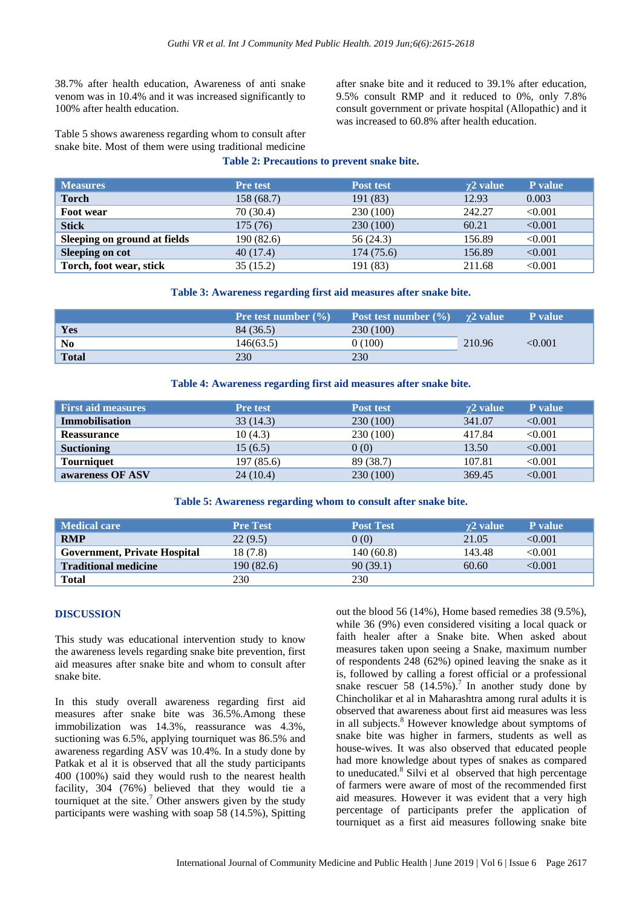38.7% after health education, Awareness of anti snake venom was in 10.4% and it was increased significantly to 100% after health education.

after snake bite and it reduced to 39.1% after education, 9.5% consult RMP and it reduced to 0%, only 7.8% consult government or private hospital (Allopathic) and it was increased to 60.8% after health education.

Table 5 shows awareness regarding whom to consult after snake bite. Most of them were using traditional medicine

# **Table 2: Precautions to prevent snake bite.**

| <b>Measures</b>              | <b>Pre</b> test | Post test | $\chi$ 2 value | P value |
|------------------------------|-----------------|-----------|----------------|---------|
| <b>Torch</b>                 | 158 (68.7)      | 191 (83)  | 12.93          | 0.003   |
| Foot wear                    | 70 (30.4)       | 230 (100) | 242.27         | < 0.001 |
| <b>Stick</b>                 | 175 (76)        | 230 (100) | 60.21          | < 0.001 |
| Sleeping on ground at fields | 190 (82.6)      | 56 (24.3) | 156.89         | < 0.001 |
| <b>Sleeping on cot</b>       | 40(17.4)        | 174(75.6) | 156.89         | < 0.001 |
| Torch, foot wear, stick      | 35(15.2)        | 191 (83)  | 211.68         | < 0.001 |

#### **Table 3: Awareness regarding first aid measures after snake bite.**

|              | <b>Pre test number</b> $(\% )$ | <b>Post test number</b> $(\%)$ | $\gamma$ 2 value | <b>P</b> value |
|--------------|--------------------------------|--------------------------------|------------------|----------------|
| Yes          | 84 (36.5)                      | 230(100)                       |                  |                |
| <b>No</b>    | 146(63.5)                      | 0 (100)                        | 210.96           | < 0.001        |
| <b>Total</b> | 230                            | 230                            |                  |                |

#### **Table 4: Awareness regarding first aid measures after snake bite.**

| <b>First aid measures</b> | <b>Pre test</b> | Post test | $\chi$ 2 value | <b>P</b> value |
|---------------------------|-----------------|-----------|----------------|----------------|
| <b>Immobilisation</b>     | 33(14.3)        | 230 (100) | 341.07         | < 0.001        |
| <b>Reassurance</b>        | 10(4.3)         | 230 (100) | 417.84         | < 0.001        |
| <b>Suctioning</b>         | 15(6.5)         | 0(0)      | 13.50          | < 0.001        |
| <b>Tourniquet</b>         | 197 (85.6)      | 89 (38.7) | 107.81         | < 0.001        |
| awareness OF ASV          | 24(10.4)        | 230(100)  | 369.45         | < 0.001        |

#### **Table 5: Awareness regarding whom to consult after snake bite.**

| Medical care                        | <b>Pre Test</b> | <b>Post Test</b> | $\gamma$ 2 value | <b>P</b> value |
|-------------------------------------|-----------------|------------------|------------------|----------------|
| <b>RMP</b>                          | 22(9.5)         | 0(0)             | 21.05            | < 0.001        |
| <b>Government, Private Hospital</b> | 18 (7.8)        | 140 (60.8)       | 143.48           | $<$ 0.001 $\,$ |
| <b>Traditional medicine</b>         | 190 (82.6)      | 90(39.1)         | 60.60            | < 0.001        |
| <b>Total</b>                        | 230             | 230              |                  |                |

# **DISCUSSION**

This study was educational intervention study to know the awareness levels regarding snake bite prevention, first aid measures after snake bite and whom to consult after snake bite.

In this study overall awareness regarding first aid measures after snake bite was 36.5%.Among these immobilization was 14.3%, reassurance was 4.3%, suctioning was 6.5%, applying tourniquet was 86.5% and awareness regarding ASV was 10.4%. In a study done by Patkak et al it is observed that all the study participants 400 (100%) said they would rush to the nearest health facility, 304 (76%) believed that they would tie a tourniquet at the site.<sup>7</sup> Other answers given by the study participants were washing with soap 58 (14.5%), Spitting

out the blood 56 (14%), Home based remedies 38 (9.5%), while 36 (9%) even considered visiting a local quack or faith healer after a Snake bite. When asked about measures taken upon seeing a Snake, maximum number of respondents 248 (62%) opined leaving the snake as it is, followed by calling a forest official or a professional snake rescuer 58 (14.5%).<sup>7</sup> In another study done by Chincholikar et al in Maharashtra among rural adults it is observed that awareness about first aid measures was less in all subjects.<sup>8</sup> However knowledge about symptoms of snake bite was higher in farmers, students as well as house-wives. It was also observed that educated people had more knowledge about types of snakes as compared to uneducated.<sup>8</sup> Silvi et al observed that high percentage of farmers were aware of most of the recommended first aid measures. However it was evident that a very high percentage of participants prefer the application of tourniquet as a first aid measures following snake bite